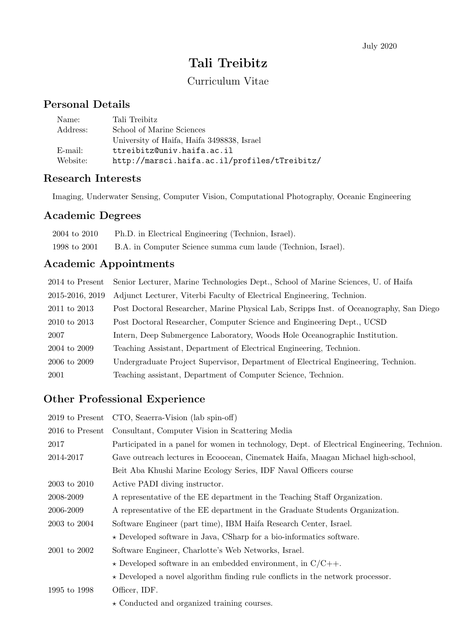# Tali Treibitz

# Curriculum Vitae

# Personal Details

| Name:    | Tali Treibitz                                 |
|----------|-----------------------------------------------|
| Address: | School of Marine Sciences                     |
|          | University of Haifa, Haifa 3498838, Israel    |
| E-mail:  | ttreibitz@univ.haifa.ac.il                    |
| Website: | http://marsci.haifa.ac.il/profiles/tTreibitz/ |

### Research Interests

Imaging, Underwater Sensing, Computer Vision, Computational Photography, Oceanic Engineering

## Academic Degrees

| 2004 to 2010 | Ph.D. in Electrical Engineering (Technion, Israel).          |
|--------------|--------------------------------------------------------------|
| 1998 to 2001 | B.A. in Computer Science summa cum laude (Technion, Israel). |

# Academic Appointments

| 2014 to Present | Senior Lecturer, Marine Technologies Dept., School of Marine Sciences, U. of Haifa      |
|-----------------|-----------------------------------------------------------------------------------------|
| 2015-2016, 2019 | Adjunct Lecturer, Viterbi Faculty of Electrical Engineering, Technion.                  |
| 2011 to 2013    | Post Doctoral Researcher, Marine Physical Lab, Scripps Inst. of Oceanography, San Diego |
| 2010 to 2013    | Post Doctoral Researcher, Computer Science and Engineering Dept., UCSD                  |
| 2007            | Intern, Deep Submergence Laboratory, Woods Hole Oceanographic Institution.              |
| 2004 to 2009    | Teaching Assistant, Department of Electrical Engineering, Technion.                     |
| 2006 to 2009    | Undergraduate Project Supervisor, Department of Electrical Engineering, Technion.       |
| 2001            | Teaching assistant, Department of Computer Science, Technion.                           |

# Other Professional Experience

|                 | 2019 to Present CTO, Seaerra-Vision (lab spin-off)                                          |
|-----------------|---------------------------------------------------------------------------------------------|
| 2016 to Present | Consultant, Computer Vision in Scattering Media                                             |
| 2017            | Participated in a panel for women in technology, Dept. of Electrical Engineering, Technion. |
| 2014-2017       | Gave outreach lectures in Ecoocean, Cinematek Haifa, Maagan Michael high-school,            |
|                 | Beit Aba Khushi Marine Ecology Series, IDF Naval Officers course                            |
| 2003 to 2010    | Active PADI diving instructor.                                                              |
| 2008-2009       | A representative of the EE department in the Teaching Staff Organization.                   |
| 2006-2009       | A representative of the EE department in the Graduate Students Organization.                |
| 2003 to 2004    | Software Engineer (part time), IBM Haifa Research Center, Israel.                           |
|                 | $\star$ Developed software in Java, CSharp for a bio-informatics software.                  |
| 2001 to 2002    | Software Engineer, Charlotte's Web Networks, Israel.                                        |
|                 | $\star$ Developed software in an embedded environment, in C/C++.                            |
|                 | $\star$ Developed a novel algorithm finding rule conflicts in the network processor.        |
| 1995 to 1998    | Officer, IDF.                                                                               |
|                 | $\star$ Conducted and organized training courses.                                           |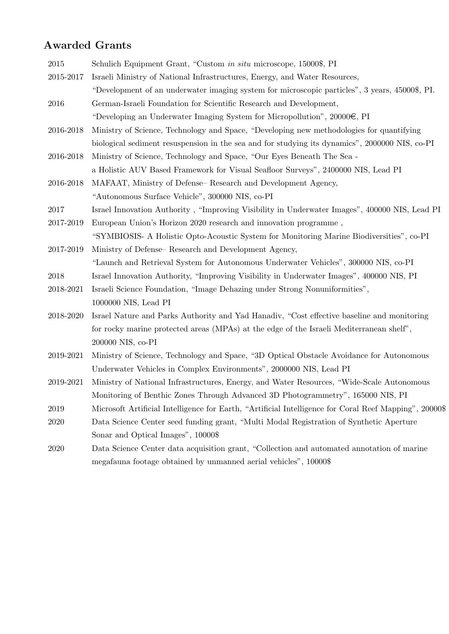### Awarded Grants

2015 Schulich Equipment Grant, "Custom in situ microscope, 15000\$, PI 2015-2017 Israeli Ministry of National Infrastructures, Energy, and Water Resources, "Development of an underwater imaging system for microscopic particles", 3 years, 45000\$, PI. 2016 German-Israeli Foundation for Scientific Research and Development, "Developing an Underwater Imaging System for Micropollution",  $20000\epsilon$ , PI 2016-2018 Ministry of Science, Technology and Space, "Developing new methodologies for quantifying biological sediment resuspension in the sea and for studying its dynamics", 2000000 NIS, co-PI 2016-2018 Ministry of Science, Technology and Space, "Our Eyes Beneath The Sea a Holistic AUV Based Framework for Visual Seafloor Surveys", 2400000 NIS, Lead PI 2016-2018 MAFAAT, Ministry of Defense– Research and Development Agency, "Autonomous Surface Vehicle", 300000 NIS, co-PI 2017 Israel Innovation Authority , "Improving Visibility in Underwater Images", 400000 NIS, Lead PI 2017-2019 European Union's Horizon 2020 research and innovation programme , "SYMBIOSIS- A Holistic Opto-Acoustic System for Monitoring Marine Biodiversities", co-PI 2017-2019 Ministry of Defense– Research and Development Agency, "Launch and Retrieval System for Autonomous Underwater Vehicles", 300000 NIS, co-PI 2018 Israel Innovation Authority, "Improving Visibility in Underwater Images", 400000 NIS, PI 2018-2021 Israeli Science Foundation, "Image Dehazing under Strong Nonuniformities", 1000000 NIS, Lead PI 2018-2020 Israel Nature and Parks Authority and Yad Hanadiv, "Cost effective baseline and monitoring for rocky marine protected areas (MPAs) at the edge of the Israeli Mediterranean shelf", 200000 NIS, co-PI 2019-2021 Ministry of Science, Technology and Space, "3D Optical Obstacle Avoidance for Autonomous Underwater Vehicles in Complex Environments", 2000000 NIS, Lead PI 2019-2021 Ministry of National Infrastructures, Energy, and Water Resources, "Wide-Scale Autonomous Monitoring of Benthic Zones Through Advanced 3D Photogrammetry", 165000 NIS, PI 2019 Microsoft Artificial Intelligence for Earth, "Artificial Intelligence for Coral Reef Mapping", 20000\$ 2020 Data Science Center seed funding grant, "Multi Modal Registration of Synthetic Aperture Sonar and Optical Images", 10000\$ 2020 Data Science Center data acquisition grant, "Collection and automated annotation of marine megafauna footage obtained by unmanned aerial vehicles", 10000\$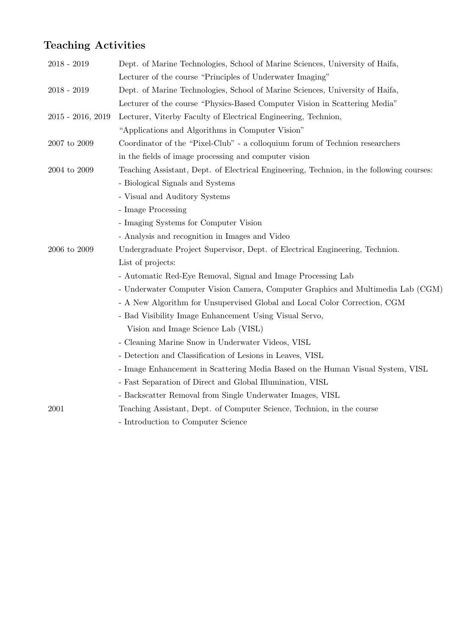# Teaching Activities

| $2018 - 2019$      | Dept. of Marine Technologies, School of Marine Sciences, University of Haifa,            |
|--------------------|------------------------------------------------------------------------------------------|
|                    | Lecturer of the course "Principles of Underwater Imaging"                                |
| 2018 - 2019        | Dept. of Marine Technologies, School of Marine Sciences, University of Haifa,            |
|                    | Lecturer of the course "Physics-Based Computer Vision in Scattering Media"               |
| 2015 - 2016, 2019  | Lecturer, Viterby Faculty of Electrical Engineering, Technion,                           |
|                    | "Applications and Algorithms in Computer Vision"                                         |
| $2007$ to $2009\,$ | Coordinator of the "Pixel-Club" - a colloquium forum of Technion researchers             |
|                    | in the fields of image processing and computer vision                                    |
| $2004$ to $2009\,$ | Teaching Assistant, Dept. of Electrical Engineering, Technion, in the following courses: |
|                    | - Biological Signals and Systems                                                         |
|                    | - Visual and Auditory Systems                                                            |
|                    | - Image Processing                                                                       |
|                    | - Imaging Systems for Computer Vision                                                    |
|                    | - Analysis and recognition in Images and Video                                           |
| $2006$ to $2009$   | Undergraduate Project Supervisor, Dept. of Electrical Engineering, Technion.             |
|                    | List of projects:                                                                        |
|                    | - Automatic Red-Eye Removal, Signal and Image Processing Lab                             |
|                    | - Underwater Computer Vision Camera, Computer Graphics and Multimedia Lab (CGM)          |
|                    | - A New Algorithm for Unsupervised Global and Local Color Correction, CGM                |
|                    | - Bad Visibility Image Enhancement Using Visual Servo,                                   |
|                    | Vision and Image Science Lab (VISL)                                                      |
|                    | - Cleaning Marine Snow in Underwater Videos, VISL                                        |
|                    | - Detection and Classification of Lesions in Leaves, VISL                                |
|                    | - Image Enhancement in Scattering Media Based on the Human Visual System, VISL           |
|                    | - Fast Separation of Direct and Global Illumination, VISL                                |
|                    | - Backscatter Removal from Single Underwater Images, VISL                                |
| 2001               | Teaching Assistant, Dept. of Computer Science, Technion, in the course                   |
|                    | - Introduction to Computer Science                                                       |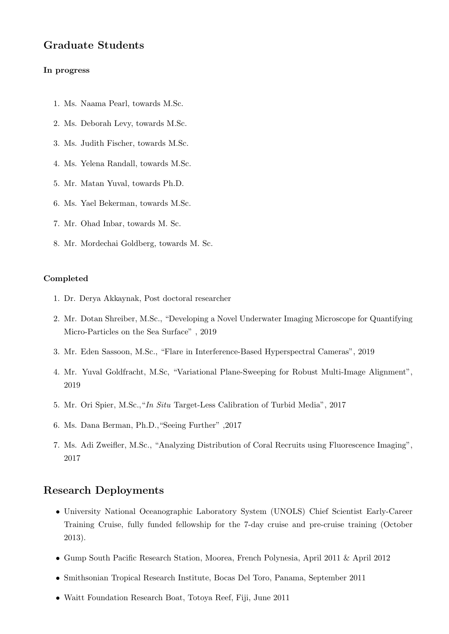#### Graduate Students

#### In progress

- 1. Ms. Naama Pearl, towards M.Sc.
- 2. Ms. Deborah Levy, towards M.Sc.
- 3. Ms. Judith Fischer, towards M.Sc.
- 4. Ms. Yelena Randall, towards M.Sc.
- 5. Mr. Matan Yuval, towards Ph.D.
- 6. Ms. Yael Bekerman, towards M.Sc.
- 7. Mr. Ohad Inbar, towards M. Sc.
- 8. Mr. Mordechai Goldberg, towards M. Sc.

#### Completed

- 1. Dr. Derya Akkaynak, Post doctoral researcher
- 2. Mr. Dotan Shreiber, M.Sc., "Developing a Novel Underwater Imaging Microscope for Quantifying Micro-Particles on the Sea Surface" , 2019
- 3. Mr. Eden Sassoon, M.Sc., "Flare in Interference-Based Hyperspectral Cameras", 2019
- 4. Mr. Yuval Goldfracht, M.Sc, "Variational Plane-Sweeping for Robust Multi-Image Alignment", 2019
- 5. Mr. Ori Spier, M.Sc.,"In Situ Target-Less Calibration of Turbid Media", 2017
- 6. Ms. Dana Berman, Ph.D.,"Seeing Further" ,2017
- 7. Ms. Adi Zweifler, M.Sc., "Analyzing Distribution of Coral Recruits using Fluorescence Imaging", 2017

#### Research Deployments

- University National Oceanographic Laboratory System (UNOLS) Chief Scientist Early-Career Training Cruise, fully funded fellowship for the 7-day cruise and pre-cruise training (October 2013).
- Gump South Pacific Research Station, Moorea, French Polynesia, April 2011 & April 2012
- Smithsonian Tropical Research Institute, Bocas Del Toro, Panama, September 2011
- Waitt Foundation Research Boat, Totoya Reef, Fiji, June 2011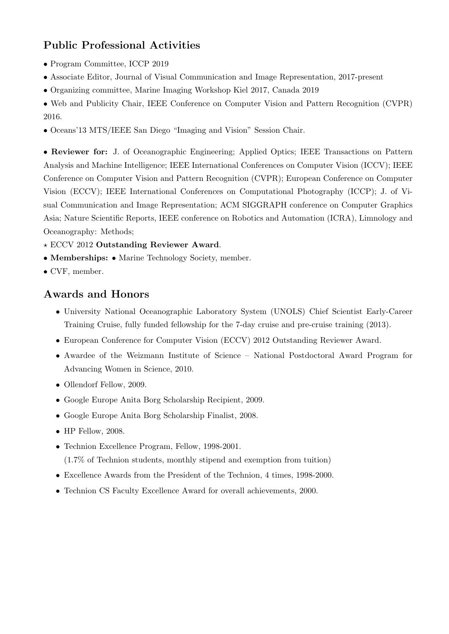# Public Professional Activities

- Program Committee, ICCP 2019
- Associate Editor, Journal of Visual Communication and Image Representation, 2017-present
- Organizing committee, Marine Imaging Workshop Kiel 2017, Canada 2019
- Web and Publicity Chair, IEEE Conference on Computer Vision and Pattern Recognition (CVPR) 2016.
- Oceans'13 MTS/IEEE San Diego "Imaging and Vision" Session Chair.

• Reviewer for: J. of Oceanographic Engineering; Applied Optics; IEEE Transactions on Pattern Analysis and Machine Intelligence; IEEE International Conferences on Computer Vision (ICCV); IEEE Conference on Computer Vision and Pattern Recognition (CVPR); European Conference on Computer Vision (ECCV); IEEE International Conferences on Computational Photography (ICCP); J. of Visual Communication and Image Representation; ACM SIGGRAPH conference on Computer Graphics Asia; Nature Scientific Reports, IEEE conference on Robotics and Automation (ICRA), Limnology and Oceanography: Methods;

- $\star$  ECCV 2012 Outstanding Reviewer Award.
- Memberships: Marine Technology Society, member.
- CVF, member.

### Awards and Honors

- University National Oceanographic Laboratory System (UNOLS) Chief Scientist Early-Career Training Cruise, fully funded fellowship for the 7-day cruise and pre-cruise training (2013).
- European Conference for Computer Vision (ECCV) 2012 Outstanding Reviewer Award.
- Awardee of the Weizmann Institute of Science National Postdoctoral Award Program for Advancing Women in Science, 2010.
- Ollendorf Fellow, 2009.
- Google Europe Anita Borg Scholarship Recipient, 2009.
- Google Europe Anita Borg Scholarship Finalist, 2008.
- HP Fellow, 2008.
- Technion Excellence Program, Fellow, 1998-2001. (1.7% of Technion students, monthly stipend and exemption from tuition)
- Excellence Awards from the President of the Technion, 4 times, 1998-2000.
- Technion CS Faculty Excellence Award for overall achievements, 2000.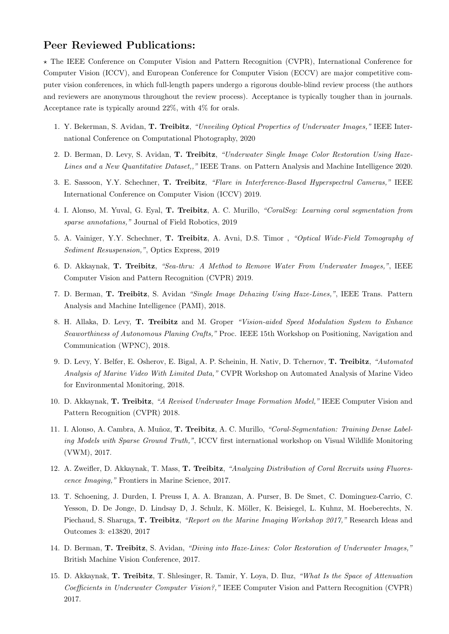#### Peer Reviewed Publications:

? The IEEE Conference on Computer Vision and Pattern Recognition (CVPR), International Conference for Computer Vision (ICCV), and European Conference for Computer Vision (ECCV) are major competitive computer vision conferences, in which full-length papers undergo a rigorous double-blind review process (the authors and reviewers are anonymous throughout the review process). Acceptance is typically tougher than in journals. Acceptance rate is typically around 22%, with 4% for orals.

- 1. Y. Bekerman, S. Avidan, T. Treibitz, "Unveiling Optical Properties of Underwater Images," IEEE International Conference on Computational Photography, 2020
- 2. D. Berman, D. Levy, S. Avidan, T. Treibitz, "Underwater Single Image Color Restoration Using Haze-Lines and a New Quantitative Dataset,," IEEE Trans. on Pattern Analysis and Machine Intelligence 2020.
- 3. E. Sassoon, Y.Y. Schechner, T. Treibitz, "Flare in Interference-Based Hyperspectral Cameras," IEEE International Conference on Computer Vision (ICCV) 2019.
- 4. I. Alonso, M. Yuval, G. Eyal, T. Treibitz, A. C. Murillo, "CoralSeg: Learning coral segmentation from sparse annotations," Journal of Field Robotics, 2019
- 5. A. Vainiger, Y.Y. Schechner, T. Treibitz, A. Avni, D.S. Timor , "Optical Wide-Field Tomography of Sediment Resuspension,", Optics Express, 2019
- 6. D. Akkaynak, T. Treibitz, "Sea-thru: A Method to Remove Water From Underwater Images,", IEEE Computer Vision and Pattern Recognition (CVPR) 2019.
- 7. D. Berman, T. Treibitz, S. Avidan "Single Image Dehazing Using Haze-Lines,", IEEE Trans. Pattern Analysis and Machine Intelligence (PAMI), 2018.
- 8. H. Allaka, D. Levy, T. Treibitz and M. Groper "Vision-aided Speed Modulation System to Enhance Seaworthiness of Autonomous Planing Crafts," Proc. IEEE 15th Workshop on Positioning, Navigation and Communication (WPNC), 2018.
- 9. D. Levy, Y. Belfer, E. Osherov, E. Bigal, A. P. Scheinin, H. Nativ, D. Tchernov, T. Treibitz, "Automated Analysis of Marine Video With Limited Data," CVPR Workshop on Automated Analysis of Marine Video for Environmental Monitoring, 2018.
- 10. D. Akkaynak, T. Treibitz, "A Revised Underwater Image Formation Model," IEEE Computer Vision and Pattern Recognition (CVPR) 2018.
- 11. I. Alonso, A. Cambra, A. Muñoz, T. Treibitz, A. C. Murillo, "Coral-Segmentation: Training Dense Labeling Models with Sparse Ground Truth,", ICCV first international workshop on Visual Wildlife Monitoring (VWM), 2017.
- 12. A. Zweifler, D. Akkaynak, T. Mass, T. Treibitz, "Analyzing Distribution of Coral Recruits using Fluorescence Imaging," Frontiers in Marine Science, 2017.
- 13. T. Schoening, J. Durden, I. Preuss I, A. A. Branzan, A. Purser, B. De Smet, C. Dominguez-Carrio, C. Yesson, D. De Jonge, D. Lindsay D, J. Schulz, K. Möller, K. Beisiegel, L. Kuhnz, M. Hoeberechts, N. Piechaud, S. Sharuga, T. Treibitz, "Report on the Marine Imaging Workshop 2017," Research Ideas and Outcomes 3: e13820, 2017
- 14. D. Berman, T. Treibitz, S. Avidan, "Diving into Haze-Lines: Color Restoration of Underwater Images," British Machine Vision Conference, 2017.
- 15. D. Akkaynak, T. Treibitz, T. Shlesinger, R. Tamir, Y. Loya, D. Iluz, "What Is the Space of Attenuation Coefficients in Underwater Computer Vision?," IEEE Computer Vision and Pattern Recognition (CVPR) 2017.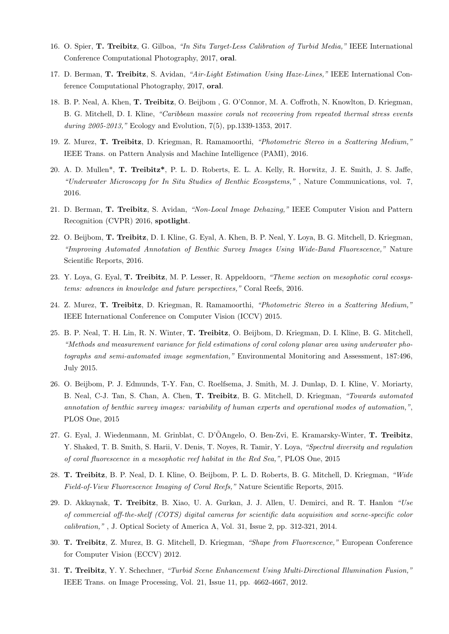- 16. O. Spier, T. Treibitz, G. Gilboa, "In Situ Target-Less Calibration of Turbid Media," IEEE International Conference Computational Photography, 2017, oral.
- 17. D. Berman, T. Treibitz, S. Avidan, "Air-Light Estimation Using Haze-Lines," IEEE International Conference Computational Photography, 2017, oral.
- 18. B. P. Neal, A. Khen, T. Treibitz, O. Beijbom , G. O'Connor, M. A. Coffroth, N. Knowlton, D. Kriegman, B. G. Mitchell, D. I. Kline, "Caribbean massive corals not recovering from repeated thermal stress events during 2005-2013," Ecology and Evolution, 7(5), pp.1339-1353, 2017.
- 19. Z. Murez, T. Treibitz, D. Kriegman, R. Ramamoorthi, "Photometric Stereo in a Scattering Medium," IEEE Trans. on Pattern Analysis and Machine Intelligence (PAMI), 2016.
- 20. A. D. Mullen\*, T. Treibitz\*, P. L. D. Roberts, E. L. A. Kelly, R. Horwitz, J. E. Smith, J. S. Jaffe, "Underwater Microscopy for In Situ Studies of Benthic Ecosystems," , Nature Communications, vol. 7, 2016.
- 21. D. Berman, T. Treibitz, S. Avidan, "Non-Local Image Dehazing," IEEE Computer Vision and Pattern Recognition (CVPR) 2016, spotlight.
- 22. O. Beijbom, T. Treibitz, D. I. Kline, G. Eyal, A. Khen, B. P. Neal, Y. Loya, B. G. Mitchell, D. Kriegman, "Improving Automated Annotation of Benthic Survey Images Using Wide-Band Fluorescence," Nature Scientific Reports, 2016.
- 23. Y. Loya, G. Eyal, T. Treibitz, M. P. Lesser, R. Appeldoorn, "Theme section on mesophotic coral ecosystems: advances in knowledge and future perspectives," Coral Reefs, 2016.
- 24. Z. Murez, T. Treibitz, D. Kriegman, R. Ramamoorthi, "Photometric Stereo in a Scattering Medium," IEEE International Conference on Computer Vision (ICCV) 2015.
- 25. B. P. Neal, T. H. Lin, R. N. Winter, T. Treibitz, O. Beijbom, D. Kriegman, D. I. Kline, B. G. Mitchell, "Methods and measurement variance for field estimations of coral colony planar area using underwater photographs and semi-automated image segmentation," Environmental Monitoring and Assessment, 187:496, July 2015.
- 26. O. Beijbom, P. J. Edmunds, T-Y. Fan, C. Roelfsema, J. Smith, M. J. Dunlap, D. I. Kline, V. Moriarty, B. Neal, C-J. Tan, S. Chan, A. Chen, T. Treibitz, B. G. Mitchell, D. Kriegman, "Towards automated annotation of benthic survey images: variability of human experts and operational modes of automation,", PLOS One, 2015
- 27. G. Eyal, J. Wiedenmann, M. Grinblat, C. D'ÕAngelo, O. Ben-Zvi, E. Kramarsky-Winter, T. Treibitz, Y. Shaked, T. B. Smith, S. Harii, V. Denis, T. Noyes, R. Tamir, Y. Loya, "Spectral diversity and regulation of coral fluorescence in a mesophotic reef habitat in the Red Sea,", PLOS One, 2015
- 28. T. Treibitz, B. P. Neal, D. I. Kline, O. Beijbom, P. L. D. Roberts, B. G. Mitchell, D. Kriegman, "Wide Field-of-View Fluorescence Imaging of Coral Reefs," Nature Scientific Reports, 2015.
- 29. D. Akkaynak, T. Treibitz, B. Xiao, U. A. Gurkan, J. J. Allen, U. Demirci, and R. T. Hanlon "Use of commercial off-the-shelf (COTS) digital cameras for scientific data acquisition and scene-specific color calibration," , J. Optical Society of America A, Vol. 31, Issue 2, pp. 312-321, 2014.
- 30. T. Treibitz, Z. Murez, B. G. Mitchell, D. Kriegman, "Shape from Fluorescence," European Conference for Computer Vision (ECCV) 2012.
- 31. T. Treibitz, Y. Y. Schechner, "Turbid Scene Enhancement Using Multi-Directional Illumination Fusion," IEEE Trans. on Image Processing, Vol. 21, Issue 11, pp. 4662-4667, 2012.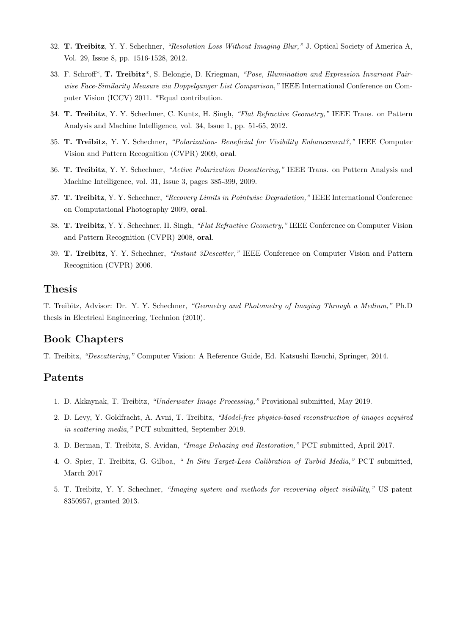- 32. T. Treibitz, Y. Y. Schechner, "Resolution Loss Without Imaging Blur," J. Optical Society of America A, Vol. 29, Issue 8, pp. 1516-1528, 2012.
- 33. F. Schroff\*, T. Treibitz\*, S. Belongie, D. Kriegman, "Pose, Illumination and Expression Invariant Pairwise Face-Similarity Measure via Doppelganger List Comparison," IEEE International Conference on Computer Vision (ICCV) 2011. \*Equal contribution.
- 34. T. Treibitz, Y. Y. Schechner, C. Kuntz, H. Singh, "Flat Refractive Geometry," IEEE Trans. on Pattern Analysis and Machine Intelligence, vol. 34, Issue 1, pp. 51-65, 2012.
- 35. T. Treibitz, Y. Y. Schechner, "Polarization- Beneficial for Visibility Enhancement?," IEEE Computer Vision and Pattern Recognition (CVPR) 2009, oral.
- 36. T. Treibitz, Y. Y. Schechner, "Active Polarization Descattering," IEEE Trans. on Pattern Analysis and Machine Intelligence, vol. 31, Issue 3, pages 385-399, 2009.
- 37. T. Treibitz, Y. Y. Schechner, "Recovery Limits in Pointwise Degradation," IEEE International Conference on Computational Photography 2009, oral.
- 38. T. Treibitz, Y. Y. Schechner, H. Singh, "Flat Refractive Geometry," IEEE Conference on Computer Vision and Pattern Recognition (CVPR) 2008, oral.
- 39. T. Treibitz, Y. Y. Schechner, "Instant 3Descatter," IEEE Conference on Computer Vision and Pattern Recognition (CVPR) 2006.

#### Thesis

T. Treibitz, Advisor: Dr. Y. Y. Schechner, "Geometry and Photometry of Imaging Through a Medium," Ph.D thesis in Electrical Engineering, Technion (2010).

#### Book Chapters

T. Treibitz, "Descattering," Computer Vision: A Reference Guide, Ed. Katsushi Ikeuchi, Springer, 2014.

#### Patents

- 1. D. Akkaynak, T. Treibitz, "Underwater Image Processing," Provisional submitted, May 2019.
- 2. D. Levy, Y. Goldfracht, A. Avni, T. Treibitz, "Model-free physics-based reconstruction of images acquired in scattering media," PCT submitted, September 2019.
- 3. D. Berman, T. Treibitz, S. Avidan, "Image Dehazing and Restoration," PCT submitted, April 2017.
- 4. O. Spier, T. Treibitz, G. Gilboa, " In Situ Target-Less Calibration of Turbid Media," PCT submitted, March 2017
- 5. T. Treibitz, Y. Y. Schechner, "Imaging system and methods for recovering object visibility," US patent 8350957, granted 2013.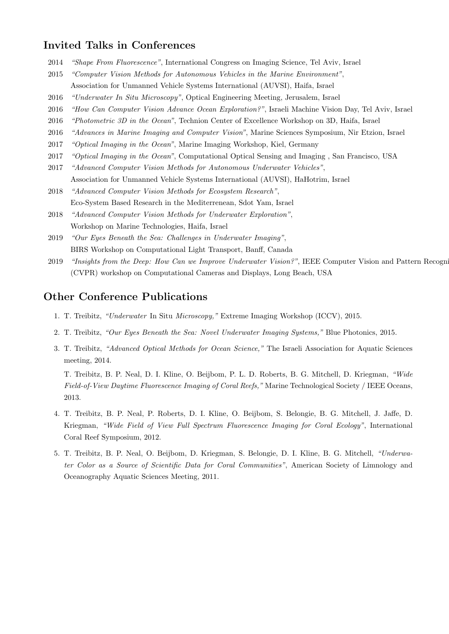#### Invited Talks in Conferences

- 2014 "Shape From Fluorescence", International Congress on Imaging Science, Tel Aviv, Israel
- 2015 "Computer Vision Methods for Autonomous Vehicles in the Marine Environment", Association for Unmanned Vehicle Systems International (AUVSI), Haifa, Israel
- 2016 "Underwater In Situ Microscopy", Optical Engineering Meeting, Jerusalem, Israel
- 2016 "How Can Computer Vision Advance Ocean Exploration?", Israeli Machine Vision Day, Tel Aviv, Israel
- 2016 *"Photometric 3D in the Ocean"*, Technion Center of Excellence Workshop on 3D, Haifa, Israel
- 2016 "Advances in Marine Imaging and Computer Vision", Marine Sciences Symposium, Nir Etzion, Israel
- 2017 "Optical Imaging in the Ocean", Marine Imaging Workshop, Kiel, Germany
- 2017 *"Optical Imaging in the Ocean"*, Computational Optical Sensing and Imaging, San Francisco, USA
- 2017 "Advanced Computer Vision Methods for Autonomous Underwater Vehicles", Association for Unmanned Vehicle Systems International (AUVSI), HaHotrim, Israel
- 2018 "Advanced Computer Vision Methods for Ecosystem Research", Eco-System Based Research in the Mediterrenean, Sdot Yam, Israel
- 2018 "Advanced Computer Vision Methods for Underwater Exploration", Workshop on Marine Technologies, Haifa, Israel
- 2019 "Our Eyes Beneath the Sea: Challenges in Underwater Imaging", BIRS Workshop on Computational Light Transport, Banff, Canada
- 2019 "Insights from the Deep: How Can we Improve Underwater Vision?", IEEE Computer Vision and Pattern Recogni (CVPR) workshop on Computational Cameras and Displays, Long Beach, USA

#### Other Conference Publications

- 1. T. Treibitz, "Underwater In Situ Microscopy," Extreme Imaging Workshop (ICCV), 2015.
- 2. T. Treibitz, "Our Eyes Beneath the Sea: Novel Underwater Imaging Systems," Blue Photonics, 2015.
- 3. T. Treibitz, "Advanced Optical Methods for Ocean Science," The Israeli Association for Aquatic Sciences meeting, 2014.

T. Treibitz, B. P. Neal, D. I. Kline, O. Beijbom, P. L. D. Roberts, B. G. Mitchell, D. Kriegman, "Wide Field-of-View Daytime Fluorescence Imaging of Coral Reefs," Marine Technological Society / IEEE Oceans, 2013.

- 4. T. Treibitz, B. P. Neal, P. Roberts, D. I. Kline, O. Beijbom, S. Belongie, B. G. Mitchell, J. Jaffe, D. Kriegman, "Wide Field of View Full Spectrum Fluorescence Imaging for Coral Ecology", International Coral Reef Symposium, 2012.
- 5. T. Treibitz, B. P. Neal, O. Beijbom, D. Kriegman, S. Belongie, D. I. Kline, B. G. Mitchell, "Underwater Color as a Source of Scientific Data for Coral Communities", American Society of Limnology and Oceanography Aquatic Sciences Meeting, 2011.